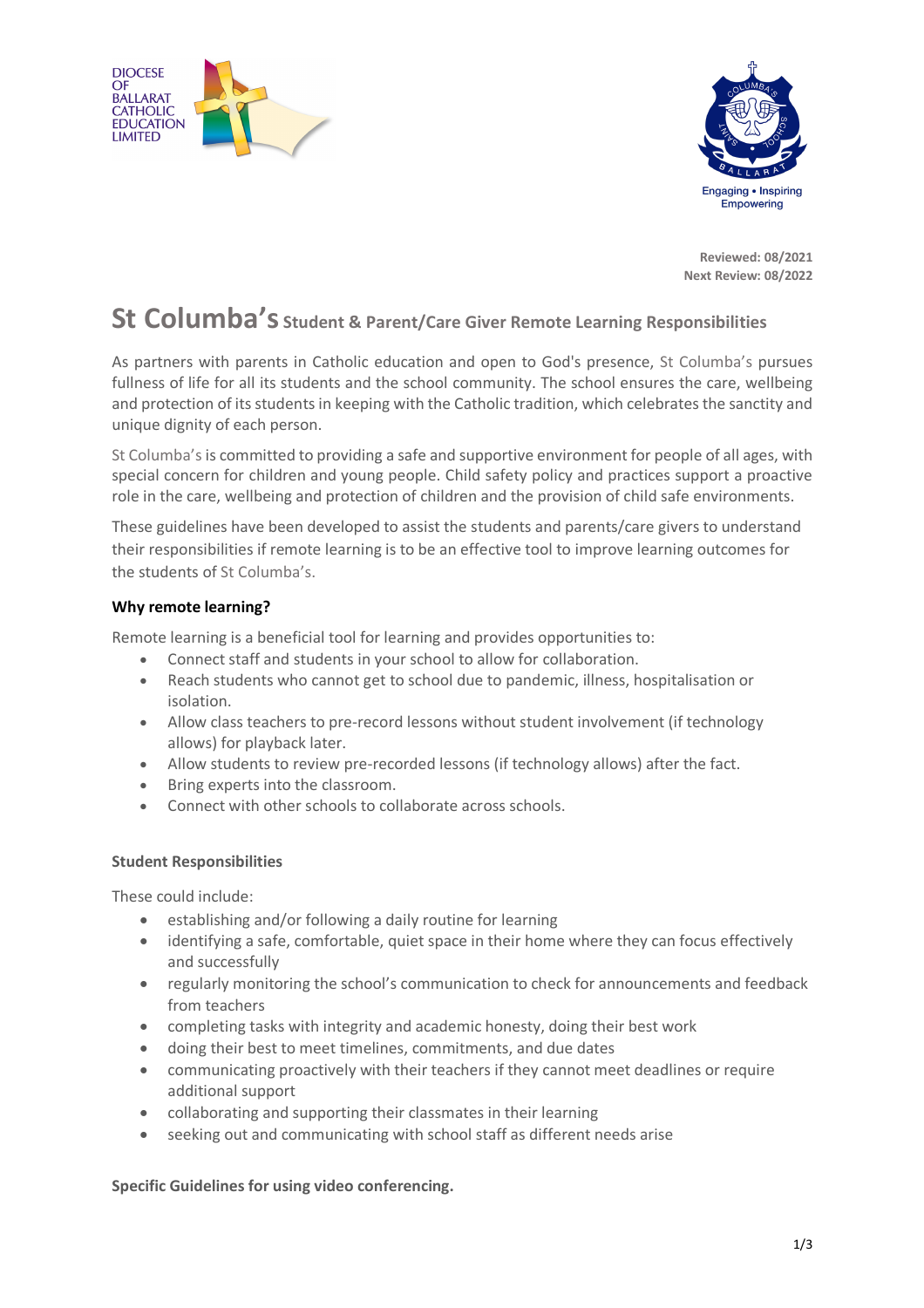



**Reviewed: 08/2021 Next Review: 08/2022**

# **St Columba's Student & Parent/Care Giver Remote Learning Responsibilities**

As partners with parents in Catholic education and open to God's presence, St Columba's pursues fullness of life for all its students and the school community. The school ensures the care, wellbeing and protection of its students in keeping with the Catholic tradition, which celebrates the sanctity and unique dignity of each person.

St Columba's is committed to providing a safe and supportive environment for people of all ages, with special concern for children and young people. Child safety policy and practices support a proactive role in the care, wellbeing and protection of children and the provision of child safe environments.

These guidelines have been developed to assist the students and parents/care givers to understand their responsibilities if remote learning is to be an effective tool to improve learning outcomes for the students of St Columba's.

## **Why remote learning?**

Remote learning is a beneficial tool for learning and provides opportunities to:

- Connect staff and students in your school to allow for collaboration.
- Reach students who cannot get to school due to pandemic, illness, hospitalisation or isolation.
- Allow class teachers to pre-record lessons without student involvement (if technology allows) for playback later.
- Allow students to review pre-recorded lessons (if technology allows) after the fact.
- Bring experts into the classroom.
- Connect with other schools to collaborate across schools.

## **Student Responsibilities**

These could include:

- establishing and/or following a daily routine for learning
- identifying a safe, comfortable, quiet space in their home where they can focus effectively and successfully
- regularly monitoring the school's communication to check for announcements and feedback from teachers
- completing tasks with integrity and academic honesty, doing their best work
- doing their best to meet timelines, commitments, and due dates
- communicating proactively with their teachers if they cannot meet deadlines or require additional support
- collaborating and supporting their classmates in their learning
- seeking out and communicating with school staff as different needs arise

#### **Specific Guidelines for using video conferencing.**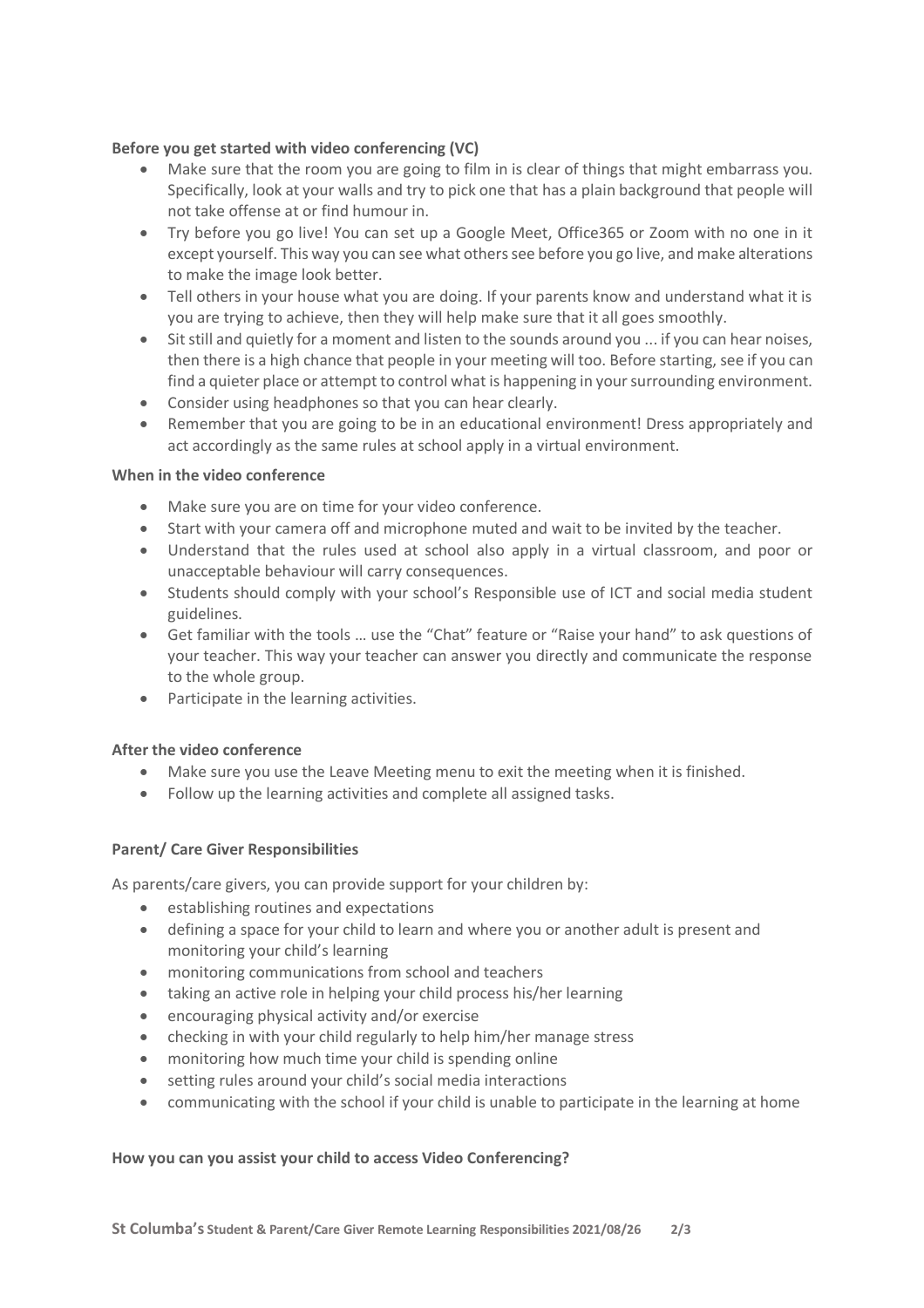### **Before you get started with video conferencing (VC)**

- Make sure that the room you are going to film in is clear of things that might embarrass you. Specifically, look at your walls and try to pick one that has a plain background that people will not take offense at or find humour in.
- Try before you go live! You can set up a Google Meet, Office365 or Zoom with no one in it except yourself. This way you can see what others see before you go live, and make alterations to make the image look better.
- Tell others in your house what you are doing. If your parents know and understand what it is you are trying to achieve, then they will help make sure that it all goes smoothly.
- Sit still and quietly for a moment and listen to the sounds around you ... if you can hear noises, then there is a high chance that people in your meeting will too. Before starting, see if you can find a quieter place or attempt to control what is happening in your surrounding environment.
- Consider using headphones so that you can hear clearly.
- Remember that you are going to be in an educational environment! Dress appropriately and act accordingly as the same rules at school apply in a virtual environment.

#### **When in the video conference**

- Make sure you are on time for your video conference.
- Start with your camera off and microphone muted and wait to be invited by the teacher.
- Understand that the rules used at school also apply in a virtual classroom, and poor or unacceptable behaviour will carry consequences.
- Students should comply with your school's Responsible use of ICT and social media student guidelines.
- Get familiar with the tools … use the "Chat" feature or "Raise your hand" to ask questions of your teacher. This way your teacher can answer you directly and communicate the response to the whole group.
- Participate in the learning activities.

#### **After the video conference**

- Make sure you use the Leave Meeting menu to exit the meeting when it is finished.
- Follow up the learning activities and complete all assigned tasks.

#### **Parent/ Care Giver Responsibilities**

As parents/care givers, you can provide support for your children by:

- establishing routines and expectations
- defining a space for your child to learn and where you or another adult is present and monitoring your child's learning
- monitoring communications from school and teachers
- taking an active role in helping your child process his/her learning
- encouraging physical activity and/or exercise
- checking in with your child regularly to help him/her manage stress
- monitoring how much time your child is spending online
- setting rules around your child's social media interactions
- communicating with the school if your child is unable to participate in the learning at home

#### **How you can you assist your child to access Video Conferencing?**